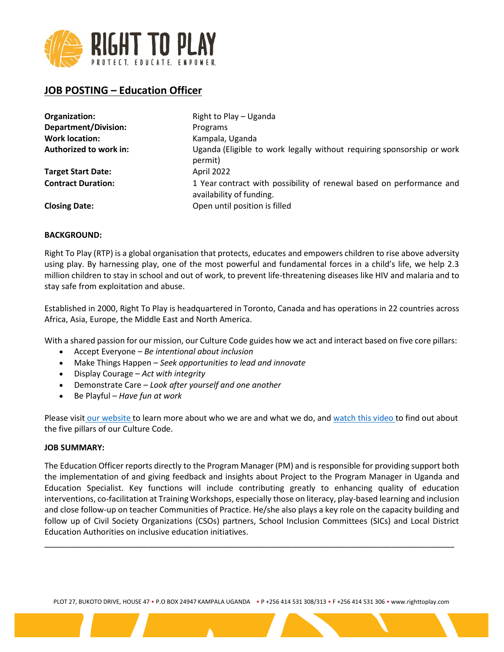

# **JOB POSTING – Education Officer**

| Organization:               | Right to Play - Uganda                                                                           |
|-----------------------------|--------------------------------------------------------------------------------------------------|
| <b>Department/Division:</b> | Programs                                                                                         |
| <b>Work location:</b>       | Kampala, Uganda                                                                                  |
| Authorized to work in:      | Uganda (Eligible to work legally without requiring sponsorship or work<br>permit)                |
| <b>Target Start Date:</b>   | April 2022                                                                                       |
| <b>Contract Duration:</b>   | 1 Year contract with possibility of renewal based on performance and<br>availability of funding. |
| <b>Closing Date:</b>        | Open until position is filled                                                                    |

# **BACKGROUND:**

Right To Play (RTP) is a global organisation that protects, educates and empowers children to rise above adversity using play. By harnessing play, one of the most powerful and fundamental forces in a child's life, we help 2.3 million children to stay in school and out of work, to prevent life-threatening diseases like HIV and malaria and to stay safe from exploitation and abuse.

Established in 2000, Right To Play is headquartered in Toronto, Canada and has operations in 22 countries across Africa, Asia, Europe, the Middle East and North America.

With a shared passion for our mission, our Culture Code guides how we act and interact based on five core pillars:

- Accept Everyone *Be intentional about inclusion*
- Make Things Happen *Seek opportunities to lead and innovate*
- Display Courage *Act with integrity*
- Demonstrate Care *Look after yourself and one another*
- Be Playful *Have fun at work*

Please visit our website to learn more about who we are and what we do, and watch this video to find out about the five pillars of our Culture Code.

#### **JOB SUMMARY:**

The Education Officer reports directly to the Program Manager (PM) and is responsible for providing support both the implementation of and giving feedback and insights about Project to the Program Manager in Uganda and Education Specialist. Key functions will include contributing greatly to enhancing quality of education interventions, co-facilitation at Training Workshops, especially those on literacy, play-based learning and inclusion and close follow-up on teacher Communities of Practice. He/she also plays a key role on the capacity building and follow up of Civil Society Organizations (CSOs) partners, School Inclusion Committees (SICs) and Local District Education Authorities on inclusive education initiatives.

\_\_\_\_\_\_\_\_\_\_\_\_\_\_\_\_\_\_\_\_\_\_\_\_\_\_\_\_\_\_\_\_\_\_\_\_\_\_\_\_\_\_\_\_\_\_\_\_\_\_\_\_\_\_\_\_\_\_\_\_\_\_\_\_\_\_\_\_\_\_\_\_\_\_\_\_\_\_\_\_\_\_\_\_\_\_\_\_\_\_\_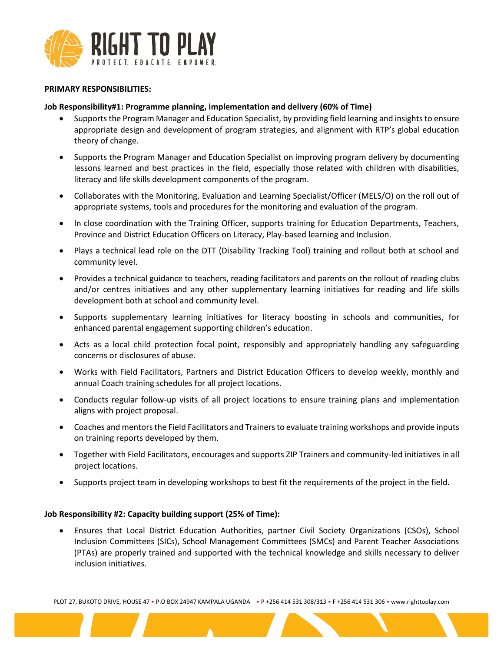

#### **PRIMARY RESPONSIBILITIES:**

# **Job Responsibility#1: Programme planning, implementation and delivery (60% of Time)**

- Supports the Program Manager and Education Specialist, by providing field learning and insights to ensure appropriate design and development of program strategies, and alignment with RTP's global education theory of change.
- Supports the Program Manager and Education Specialist on improving program delivery by documenting lessons learned and best practices in the field, especially those related with children with disabilities, literacy and life skills development components of the program.
- Collaborates with the Monitoring, Evaluation and Learning Specialist/Officer (MELS/O) on the roll out of appropriate systems, tools and procedures for the monitoring and evaluation of the program.
- In close coordination with the Training Officer, supports training for Education Departments, Teachers, Province and District Education Officers on Literacy, Play-based learning and Inclusion.
- Plays a technical lead role on the DTT (Disability Tracking Tool) training and rollout both at school and community level.
- Provides a technical guidance to teachers, reading facilitators and parents on the rollout of reading clubs and/or centres initiatives and any other supplementary learning initiatives for reading and life skills development both at school and community level.
- Supports supplementary learning initiatives for literacy boosting in schools and communities, for enhanced parental engagement supporting children's education.
- Acts as a local child protection focal point, responsibly and appropriately handling any safeguarding concerns or disclosures of abuse.
- Works with Field Facilitators, Partners and District Education Officers to develop weekly, monthly and annual Coach training schedules for all project locations.
- Conducts regular follow-up visits of all project locations to ensure training plans and implementation aligns with project proposal.
- Coaches and mentors the Field Facilitators and Trainers to evaluate training workshops and provide inputs on training reports developed by them.
- Together with Field Facilitators, encourages and supports ZIP Trainers and community-led initiatives in all project locations.
- Supports project team in developing workshops to best fit the requirements of the project in the field.

#### **Job Responsibility #2: Capacity building support (25% of Time):**

• Ensures that Local District Education Authorities, partner Civil Society Organizations (CSOs), School Inclusion Committees (SICs), School Management Committees (SMCs) and Parent Teacher Associations (PTAs) are properly trained and supported with the technical knowledge and skills necessary to deliver inclusion initiatives.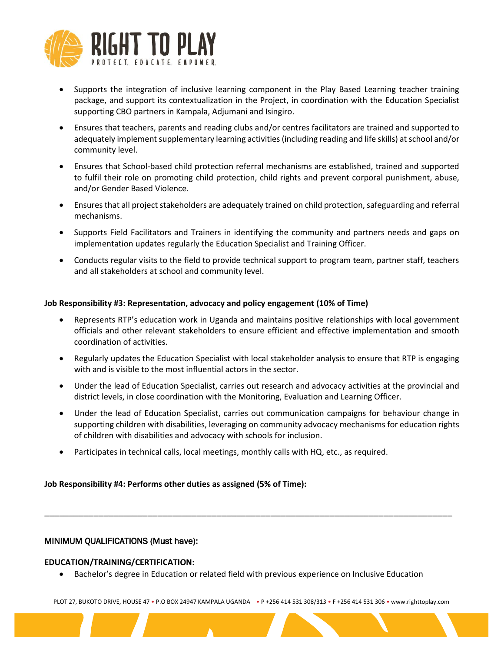

- Supports the integration of inclusive learning component in the Play Based Learning teacher training package, and support its contextualization in the Project, in coordination with the Education Specialist supporting CBO partners in Kampala, Adjumani and Isingiro.
- Ensures that teachers, parents and reading clubs and/or centres facilitators are trained and supported to adequately implement supplementary learning activities (including reading and life skills) at school and/or community level.
- Ensures that School-based child protection referral mechanisms are established, trained and supported to fulfil their role on promoting child protection, child rights and prevent corporal punishment, abuse, and/or Gender Based Violence.
- Ensures that all project stakeholders are adequately trained on child protection, safeguarding and referral mechanisms.
- Supports Field Facilitators and Trainers in identifying the community and partners needs and gaps on implementation updates regularly the Education Specialist and Training Officer.
- Conducts regular visits to the field to provide technical support to program team, partner staff, teachers and all stakeholders at school and community level.

# **Job Responsibility #3: Representation, advocacy and policy engagement (10% of Time)**

- Represents RTP's education work in Uganda and maintains positive relationships with local government officials and other relevant stakeholders to ensure efficient and effective implementation and smooth coordination of activities.
- Regularly updates the Education Specialist with local stakeholder analysis to ensure that RTP is engaging with and is visible to the most influential actors in the sector.
- Under the lead of Education Specialist, carries out research and advocacy activities at the provincial and district levels, in close coordination with the Monitoring, Evaluation and Learning Officer.
- Under the lead of Education Specialist, carries out communication campaigns for behaviour change in supporting children with disabilities, leveraging on community advocacy mechanisms for education rights of children with disabilities and advocacy with schools for inclusion.
- Participates in technical calls, local meetings, monthly calls with HQ, etc., as required.

# **Job Responsibility #4: Performs other duties as assigned (5% of Time):**

# MINIMUM QUALIFICATIONS (Must have):

#### **EDUCATION/TRAINING/CERTIFICATION:**

• Bachelor's degree in Education or related field with previous experience on Inclusive Education

\_\_\_\_\_\_\_\_\_\_\_\_\_\_\_\_\_\_\_\_\_\_\_\_\_\_\_\_\_\_\_\_\_\_\_\_\_\_\_\_\_\_\_\_\_\_\_\_\_\_\_\_\_\_\_\_\_\_\_\_\_\_\_\_\_\_\_\_\_\_\_\_\_\_\_\_\_\_\_\_\_\_\_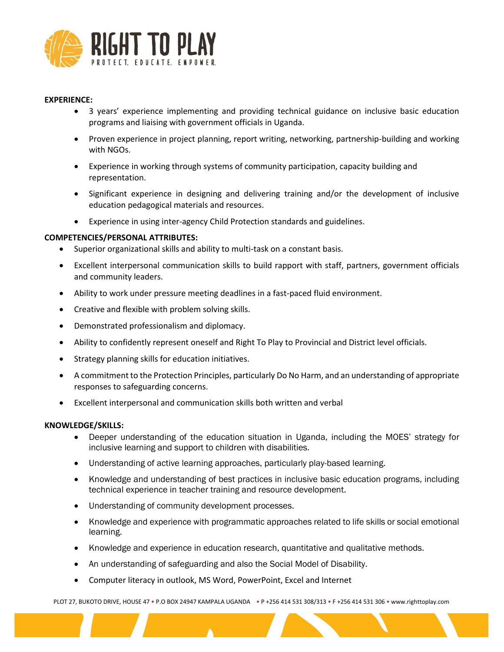

# **EXPERIENCE:**

- 3 years' experience implementing and providing technical guidance on inclusive basic education programs and liaising with government officials in Uganda.
- Proven experience in project planning, report writing, networking, partnership-building and working with NGOs.
- Experience in working through systems of community participation, capacity building and representation.
- Significant experience in designing and delivering training and/or the development of inclusive education pedagogical materials and resources.
- Experience in using inter-agency Child Protection standards and guidelines.

# **COMPETENCIES/PERSONAL ATTRIBUTES:**

- Superior organizational skills and ability to multi-task on a constant basis.
- Excellent interpersonal communication skills to build rapport with staff, partners, government officials and community leaders.
- Ability to work under pressure meeting deadlines in a fast-paced fluid environment.
- Creative and flexible with problem solving skills.
- Demonstrated professionalism and diplomacy.
- Ability to confidently represent oneself and Right To Play to Provincial and District level officials.
- Strategy planning skills for education initiatives.
- A commitment to the Protection Principles, particularly Do No Harm, and an understanding of appropriate responses to safeguarding concerns.
- Excellent interpersonal and communication skills both written and verbal

#### **KNOWLEDGE/SKILLS:**

- Deeper understanding of the education situation in Uganda, including the MOES' strategy for inclusive learning and support to children with disabilities.
- Understanding of active learning approaches, particularly play-based learning.
- Knowledge and understanding of best practices in inclusive basic education programs, including technical experience in teacher training and resource development.
- Understanding of community development processes.
- Knowledge and experience with programmatic approaches related to life skills or social emotional learning.
- Knowledge and experience in education research, quantitative and qualitative methods.
- An understanding of safeguarding and also the Social Model of Disability.
- Computer literacy in outlook, MS Word, PowerPoint, Excel and Internet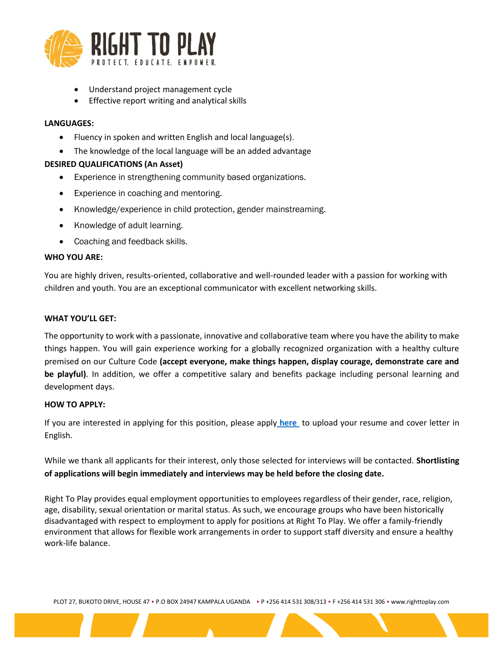

- Understand project management cycle
- Effective report writing and analytical skills

# **LANGUAGES:**

- Fluency in spoken and written English and local language(s).
- The knowledge of the local language will be an added advantage

# **DESIRED QUALIFICATIONS (An Asset)**

- Experience in strengthening community based organizations.
- Experience in coaching and mentoring.
- Knowledge/experience in child protection, gender mainstreaming.
- Knowledge of adult learning.
- Coaching and feedback skills.

# **WHO YOU ARE:**

You are highly driven, results-oriented, collaborative and well-rounded leader with a passion for working with children and youth. You are an exceptional communicator with excellent networking skills.

#### **WHAT YOU'LL GET:**

The opportunity to work with a passionate, innovative and collaborative team where you have the ability to make things happen. You will gain experience working for a globally recognized organization with a healthy culture premised on our Culture Code **(accept everyone, make things happen, display courage, demonstrate care and be playful)**. In addition, we offer a competitive salary and benefits package including personal learning and development days.

#### **HOW TO APPLY:**

If you are interested in applying for this position, please apply **[here](https://righttoplay.hiringplatform.ca/54589-education-officer-kampala-uganda/189717-application-form/en)** to upload your resume and cover letter in English.

While we thank all applicants for their interest, only those selected for interviews will be contacted. **Shortlisting of applications will begin immediately and interviews may be held before the closing date.**

Right To Play provides equal employment opportunities to employees regardless of their gender, race, religion, age, disability, sexual orientation or marital status. As such, we encourage groups who have been historically disadvantaged with respect to employment to apply for positions at Right To Play. We offer a family-friendly environment that allows for flexible work arrangements in order to support staff diversity and ensure a healthy work-life balance.